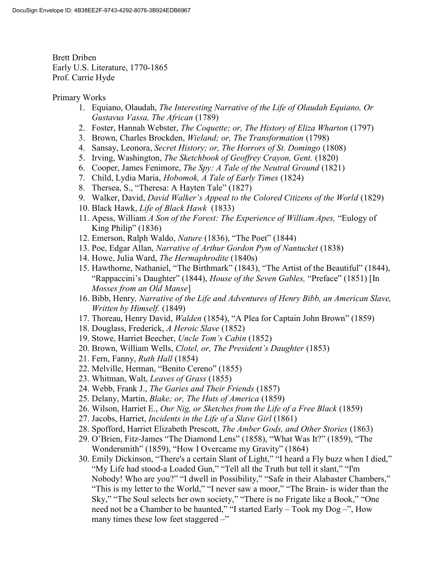Brett Driben Early U.S. Literature, 1770-1865 Prof. Carrie Hyde

## Primary Works

- 1. Equiano, Olaudah, The Interesting Narrative of the Life of Olaudah Equiano, Or Gustavus Vassa, The African (1789)
- 2. Foster, Hannah Webster, The Coquette; or, The History of Eliza Wharton (1797)
- 3. Brown, Charles Brockden, Wieland; or, The Transformation (1798)
- 4. Sansay, Leonora, Secret History; or, The Horrors of St. Domingo (1808)
- 5. Irving, Washington, The Sketchbook of Geoffrey Crayon, Gent. (1820)
- 6. Cooper, James Fenimore, The Spy: A Tale of the Neutral Ground (1821)
- 7. Child, Lydia Maria, Hobomok, A Tale of Early Times (1824)
- 8. Thersea, S., "Theresa: A Hayten Tale" (1827)
- 9. Walker, David, David Walker's Appeal to the Colored Citizens of the World (1829)
- 10. Black Hawk, Life of Black Hawk (1833)
- 11. Apess, William A Son of the Forest: The Experience of William Apes, "Eulogy of King Philip" (1836)
- 12. Emerson, Ralph Waldo, Nature (1836), "The Poet" (1844)
- 13. Poe, Edgar Allan, Narrative of Arthur Gordon Pym of Nantucket (1838)
- 14. Howe, Julia Ward, The Hermaphrodite (1840s)
- 15. Hawthorne, Nathaniel, "The Birthmark" (1843), "The Artist of the Beautiful" (1844), "Rappaccini's Daughter" (1844), House of the Seven Gables, "Preface" (1851) [In Mosses from an Old Manse]
- 16. Bibb, Henry, Narrative of the Life and Adventures of Henry Bibb, an American Slave, Written by Himself. (1849)
- 17. Thoreau, Henry David, Walden (1854), "A Plea for Captain John Brown" (1859)
- 18. Douglass, Frederick, A Heroic Slave (1852)
- 19. Stowe, Harriet Beecher, Uncle Tom's Cabin (1852)
- 20. Brown, William Wells, Clotel, or, The President's Daughter (1853)
- 21. Fern, Fanny, Ruth Hall (1854)
- 22. Melville, Herman, "Benito Cereno" (1855)
- 23. Whitman, Walt, Leaves of Grass (1855)
- 24. Webb, Frank J., The Garies and Their Friends (1857)
- 25. Delany, Martin, Blake; or, The Huts of America (1859)
- 26. Wilson, Harriet E., Our Nig, or Sketches from the Life of a Free Black (1859)
- 27. Jacobs, Harriet, Incidents in the Life of a Slave Girl (1861)
- 28. Spofford, Harriet Elizabeth Prescott, The Amber Gods, and Other Stories (1863)
- 29. O'Brien, Fitz-James "The Diamond Lens" (1858), "What Was It?" (1859), "The Wondersmith" (1859), "How I Overcame my Gravity" (1864)
- 30. Emily Dickinson, "There's a certain Slant of Light," "I heard a Fly buzz when I died," "My Life had stood-a Loaded Gun," "Tell all the Truth but tell it slant," "I'm Nobody! Who are you?" "I dwell in Possibility," "Safe in their Alabaster Chambers," "This is my letter to the World," "I never saw a moor," "The Brain- is wider than the Sky," "The Soul selects her own society," "There is no Frigate like a Book," "One need not be a Chamber to be haunted," "I started Early – Took my Dog –", How many times these low feet staggered –"